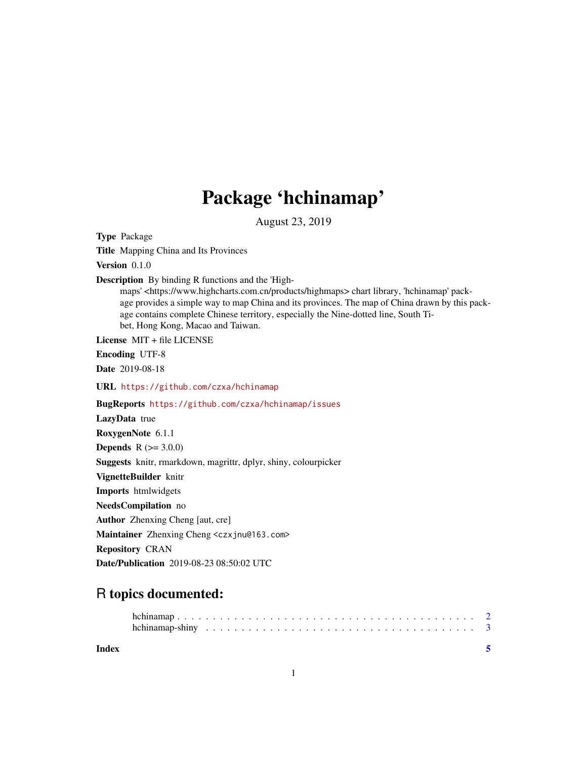## Package 'hchinamap'

August 23, 2019

Type Package Title Mapping China and Its Provinces Version 0.1.0 Description By binding R functions and the 'Highmaps' <https://www.highcharts.com.cn/products/highmaps> chart library, 'hchinamap' package provides a simple way to map China and its provinces. The map of China drawn by this package contains complete Chinese territory, especially the Nine-dotted line, South Tibet, Hong Kong, Macao and Taiwan. License MIT + file LICENSE Encoding UTF-8 Date 2019-08-18 URL <https://github.com/czxa/hchinamap> BugReports <https://github.com/czxa/hchinamap/issues> LazyData true RoxygenNote 6.1.1 **Depends** R  $(>= 3.0.0)$ Suggests knitr, rmarkdown, magrittr, dplyr, shiny, colourpicker VignetteBuilder knitr Imports htmlwidgets NeedsCompilation no Author Zhenxing Cheng [aut, cre] Maintainer Zhenxing Cheng <czxjnu@163.com> Repository CRAN Date/Publication 2019-08-23 08:50:02 UTC

### R topics documented:

**Index** [5](#page-4-0). The second state of the second state of the second state of the second state of the second state of the second state of the second state of the second state of the second state of the second state of the second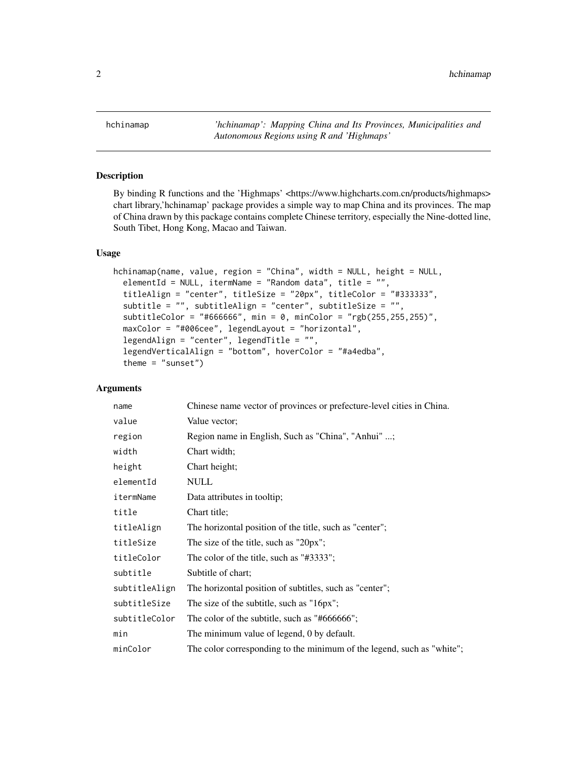<span id="page-1-0"></span>hchinamap *'hchinamap': Mapping China and Its Provinces, Municipalities and Autonomous Regions using R and 'Highmaps'*

#### Description

By binding R functions and the 'Highmaps' <https://www.highcharts.com.cn/products/highmaps> chart library,'hchinamap' package provides a simple way to map China and its provinces. The map of China drawn by this package contains complete Chinese territory, especially the Nine-dotted line, South Tibet, Hong Kong, Macao and Taiwan.

#### Usage

```
hchinamap(name, value, region = "China", width = NULL, height = NULL,
  elementId = NULL, itermName = "Random data", title = "",
  titleAlign = "center", titleSize = "20px", titleColor = "#333333",
  subtitle = "", subtitleAlign = "center", subtitleSize = "",
  subtitleColor = "#666666", min = 0, minColor = "rgb(255,255,255)",
 maxColor = "#006cee", legendLayout = "horizontal",
  legendAlign = "center", legendTitle = ",
  legendVerticalAlign = "bottom", hoverColor = "#a4edba",
  theme = "sunset")
```
#### Arguments

| name          | Chinese name vector of provinces or prefecture-level cities in China.  |
|---------------|------------------------------------------------------------------------|
| value         | Value vector;                                                          |
| region        | Region name in English, Such as "China", "Anhui" ;                     |
| width         | Chart width;                                                           |
| height        | Chart height;                                                          |
| elementId     | <b>NULL</b>                                                            |
| itermName     | Data attributes in tooltip;                                            |
| title         | Chart title;                                                           |
| titleAlign    | The horizontal position of the title, such as "center";                |
| titleSize     | The size of the title, such as "20px";                                 |
| titleColor    | The color of the title, such as "#3333";                               |
| subtitle      | Subtitle of chart:                                                     |
| subtitleAlign | The horizontal position of subtitles, such as "center";                |
| subtitleSize  | The size of the subtitle, such as "16px";                              |
| subtitleColor | The color of the subtitle, such as "#666666";                          |
| min           | The minimum value of legend, 0 by default.                             |
| minColor      | The color corresponding to the minimum of the legend, such as "white"; |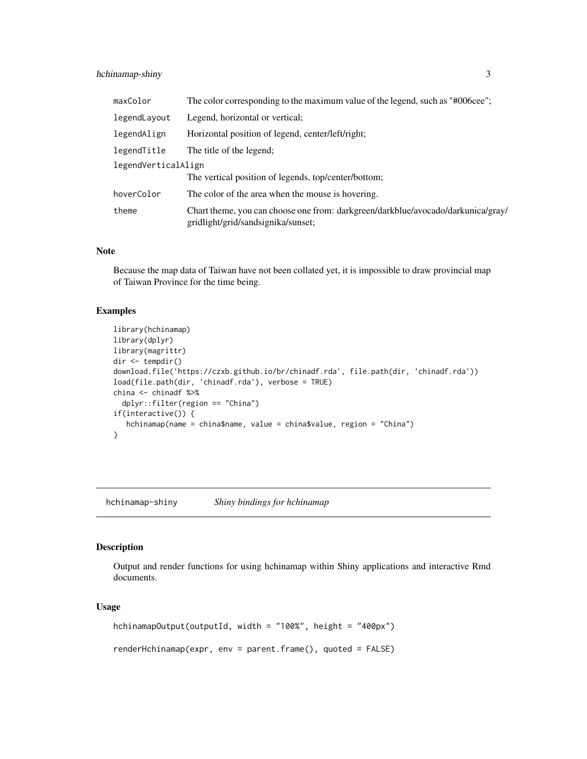#### <span id="page-2-0"></span>hchinamap-shiny 3

| maxColor            | The color corresponding to the maximum value of the legend, such as "#006cee";                                         |
|---------------------|------------------------------------------------------------------------------------------------------------------------|
| legendLayout        | Legend, horizontal or vertical;                                                                                        |
| legendAlign         | Horizontal position of legend, center/left/right;                                                                      |
| legendTitle         | The title of the legend;                                                                                               |
| legendVerticalAlign | The vertical position of legends, top/center/bottom;                                                                   |
| hoverColor          | The color of the area when the mouse is hovering.                                                                      |
| theme               | Chart theme, you can choose one from: darkgreen/darkblue/avocado/darkunica/gray/<br>gridlight/grid/sandsignika/sunset; |

#### Note

Because the map data of Taiwan have not been collated yet, it is impossible to draw provincial map of Taiwan Province for the time being.

#### Examples

```
library(hchinamap)
library(dplyr)
library(magrittr)
dir <- tempdir()
download.file('https://czxb.github.io/br/chinadf.rda', file.path(dir, 'chinadf.rda'))
load(file.path(dir, 'chinadf.rda'), verbose = TRUE)
china <- chinadf %>%
  dplyr::filter(region == "China")
if(interactive()) {
  hchinamap(name = china$name, value = china$value, region = "China")
}
```
hchinamap-shiny *Shiny bindings for hchinamap*

#### Description

Output and render functions for using hchinamap within Shiny applications and interactive Rmd documents.

#### Usage

```
hchinamapOutput(outputId, width = "100%", height = "400px")
renderHchinamap(expr, env = parent.frame(), quoted = FALSE)
```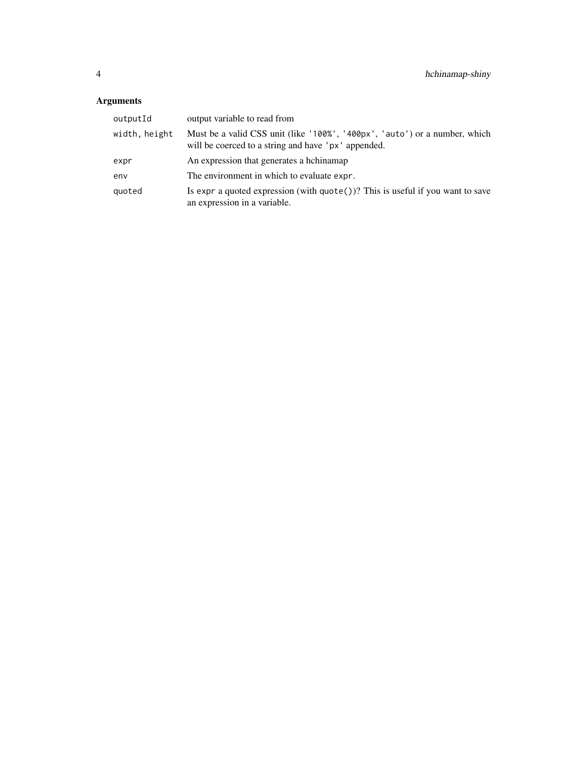#### Arguments

| outputId      | output variable to read from                                                                                                      |
|---------------|-----------------------------------------------------------------------------------------------------------------------------------|
| width, height | Must be a valid CSS unit (like '100%', '400px', 'auto') or a number, which<br>will be coerced to a string and have 'px' appended. |
| expr          | An expression that generates a hchinamap                                                                                          |
| env           | The environment in which to evaluate expr.                                                                                        |
| quoted        | Is expr a quoted expression (with $\text{quote}()$ )? This is useful if you want to save<br>an expression in a variable.          |